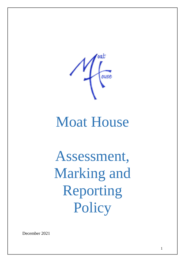

# Moat House

Assessment, Marking and Reporting Policy

December 2021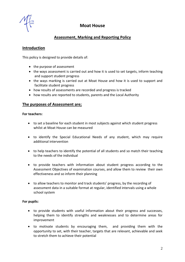

# **Moat House**

# **Assessment, Marking and Reporting Policy**

# **Introduction**

This policy is designed to provide details of:

- the purpose of assessment
- the ways assessment is carried out and how it is used to set targets, inform teaching and support student progress
- the ways marking is carried out at Moat House and how it is used to support and facilitate student progress
- how results of assessments are recorded and progress is tracked
- how results are reported to students, parents and the Local Authority

# **The purposes of Assessment are;**

#### **For teachers:**

- to set a baseline for each student in most subjects against which student progress whilst at Moat House can be measured
- to identify the Special Educational Needs of any student, which may require additional intervention
- to help teachers to identify the potential of all students and so match their teaching to the needs of the individual
- to provide teachers with information about student progress according to the Assessment Objectives of examination courses, and allow them to review their own effectiveness and so inform their planning
- to allow teachers to monitor and track students' progress, by the recording of assessment data in a suitable format at regular, identified intervals using a whole school system

## **For pupils:**

- to provide students with useful information about their progress and successes, helping them to identify strengths and weaknesses and to determine areas for improvement
- to motivate students by encouraging them, and providing them with the opportunity to set, with their teacher, targets that are relevant, achievable and seek to stretch them to achieve their potential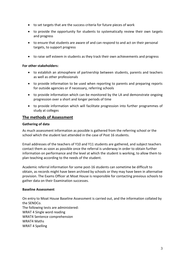- to set targets that are the success criteria for future pieces of work
- to provide the opportunity for students to systematically review their own targets and progress
- to ensure that students are aware of and can respond to and act on their personal targets, to support progress
- to raise self esteem in students as they track their own achievements and progress

#### **For other stakeholders:**

- to establish an atmosphere of partnership between students, parents and teachers as well as other professionals
- to provide information to be used when reporting to parents and preparing reports for outside agencies or if necessary, referring schools
- to provide information which can be monitored by the LA and demonstrate ongoing progression over a short and longer periods of time
- to provide information which will facilitate progression into further programmes of study at colleges

## **The methods of Assessment**

#### **Gathering of data**

As much assessment information as possible is gathered from the referring school or the school which the student last attended in the case of Post 16 students.

Email addresses of the teachers of Y10 and Y11 students are gathered, and subject teachers contact them as soon as possible once the referral is underway in order to obtain further information on performance and the level at which the student is working, to allow them to plan teaching according to the needs of the student.

Academic referral information for some post-16 students can sometime be difficult to obtain, as records might have been archived by schools or they may have been in alternative provision. The Exams Officer at Moat House is responsible for contacting previous schools to gather data on their Examination successes.

#### **Baseline Assessment**

On entry to Moat House Baseline Assessment is carried out, and the information collated by the SENDCo. The following tests are administered: WRAT 4 Single word reading WRAT4 Sentence comprehension WRAT4 Maths WRAT 4 Spelling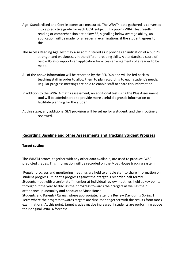- Age- Standardised and Centile scores are measured. The WRAT4 data gathered is converted into a predictive grade for each GCSE subject. If a pupil's WRAT test results in reading or comprehension are below 85, signalling below average ability, an application will be made for a reader in examinations, if the student agrees to this.
- The Access Reading Age Test may also administered as it provides an indication of a pupil's strength and weaknesses in the different reading skills. A standardised score of below 85 also supports an application for access arrangements of a reader to be made.
- All of the above information will be recorded by the SENDCo and will be fed back to teaching staff in order to allow them to plan according to each student's needs. Regular progress meetings are held to enable staff to share this information.
- In addition to the WRAT4 maths assessment, an additional test using the Plus Assessment tool will be administered to provide more useful diagnostic information to facilitate planning for the student.
- At this stage, any additional SEN provision will be set up for a student, and then routinely reviewed.

# **Recording Baseline and other Assessments and Tracking Student Progress**

## **Target setting**

The WRAT4 scores, together with any other data available, are used to produce GCSE predicted grades. This information will be recorded on the Moat House tracking system.

Regular progress and monitoring meetings are held to enable staff to share information on student progress. Student's progress against their target is recorded half termly. Students meet with a senior staff member at individual review meetings, held at key points throughout the year to discuss their progress towards their targets as well as their attendance, punctuality and conduct at Moat House.

Students and Parents/ Carers, where appropriate, attend a Review Day during Spring 1 Term where the progress towards targets are discussed together with the results from mock examinations. At this point, target grades maybe increased if students are performing above their original WRAT4 forecast.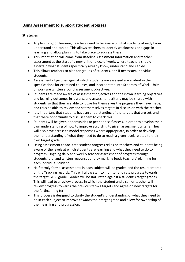# **Using Assessment to support student progress**

## **Strategies**

- To plan for good learning, teachers need to be aware of what students already know, understand and can do. This allows teachers to identify weaknesses and gaps in learning and allow planning to take place to address these.
- This information will come from Baseline Assessment information and teacher assessment at the start of a new unit or piece of work, where teachers should ascertain what students specifically already know, understand and can do.
- This allows teachers to plan for groups of students, and if necessary, individual students.
- Assessment objectives against which students are assessed are evident in the specifications for examined courses, and incorporated into Schemes of Work. Units of work are written around assessment objectives.
- Students are made aware of assessment objectives and their own learning objectives and learning outcomes in lessons, and assessment criteria may be shared with students so that they are able to judge for themselves the progress they have made, and thus be able to review and set themselves targets in discussion with the teacher.
- It is important that students have an understanding of the targets that are set, and that there opportunity to discuss them to check this.
- Students will be given opportunities to peer and self assess, in order to develop their own understanding of how to improve according to given assessment criteria. They will also have access to model responses where appropriate, in order to develop their understanding of what they need to do to reach a given level, related to their own target grade.
- Using assessment to facilitate student progress relies on teachers and students being aware of the levels at which students are learning and what they need to do to progress. Ongoing daily and weekly teacher assessment of progress through students' oral and written responses and by marking feeds teachers' planning for each individual student.
- Half termly formal assessments in each subject will be graded and the result entered on the Tracking records. This will allow staff to monitor and rate progress towards the target GCSE grade. Grades will be RAG rated against a student's target grades. This will lead to a review process in which the student and a senior teacher will review progress towards the previous term's targets and agree on new targets for the forthcoming term.
- This process is designed to clarify the student's understanding of what they need to do in each subject to improve towards their target grade and allow for ownership of their learning and progression.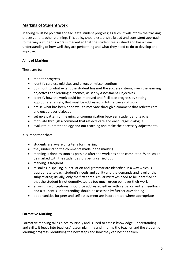# **Marking of Student work**

Marking must be pointful and facilitate student progress; as such, it will inform the tracking process and teacher planning. This policy should establish a broad and consistent approach to the way a student's work is marked so that the student feels valued and has a clear understanding of how well they are performing and what they need to do to develop and improve.

# **Aims of Marking**

These are to:

- monitor progress
- identify careless mistakes and errors or misconceptions
- point out to what extent the student has met the success criteria, given the learning objectives and learning outcomes, as set by Assessment Objectives
- identify how the work could be improved and facilitate progress by setting appropriate targets, that must be addressed in future pieces of work
- praise what has been done well to motivate through a comment that reflects care and encourages dialogue
- set up a pattern of meaningful communication between student and teacher
- motivate through a comment that reflects care and encourages dialogue
- evaluate our methodology and our teaching and make the necessary adjustments.

It is important that:

- students are aware of criteria for marking
- they understand the comments made in the marking
- marking is done as soon as possible after the work has been completed. Work could be marked with the student as it is being carried out
- marking is frequent
- mistakes in spelling, punctuation and grammar are identified in a way which is appropriate to each student's needs and ability and the demands and level of the subject area; usually, only the first three similar mistakes need to be identified so that the student is not demotivated by too much green pen over their work
- errors (misconceptions) should be addressed either with verbal or written feedback and a student's understanding should be assessed by further questioning
- opportunities for peer and self assessment are incorporated where appropriate

## **Formative Marking**

Formative marking takes place routinely and is used to assess knowledge, understanding and skills. It feeds into teachers' lesson planning and informs the teacher and the student of learning progress, identifying the next steps and how they can best be taken.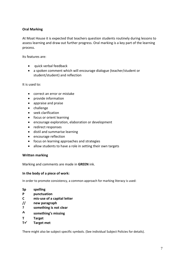# **Oral Marking**

At Moat House it is expected that teachers question students routinely during lessons to assess learning and draw out further progress. Oral marking is a key part of the learning process.

Its features are:

- quick verbal feedback
- a spoken comment which will encourage dialogue (teacher/student or student/student) and reflection

It is used to:

- correct an error or mistake
- provide information
- appraise and praise
- challenge
- seek clarification
- focus or orient learning
- encourage exploration, elaboration or development
- redirect responses
- distil and summarise learning
- encourage reflection
- focus on learning approaches and strategies
- allow students to have a role in setting their own targets

#### **Written marking**

Marking and comments are made in **GREEN** ink.

#### **In the body of a piece of work:**

In order to promote consistency, a common approach for marking literacy is used:

- **Sp spelling**
- **P punctuation**
- **C mis-use of a capital letter**
- **// new paragraph**
- **? something is not clear**
- **^ something's missing**
- **T Target**
- **T ∕ Target met**

There might also be subject specific symbols. (See individual Subject Policies for details).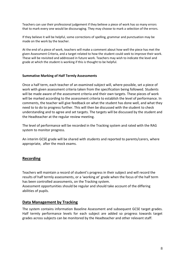Teachers can use their professional judgement if they believe a piece of work has so many errors that to mark every one would be discouraging. They may choose to mark a selection of the errors.

If they believe it will be helpful, some corrections of spelling, grammar and punctuation may be made on the work by the teacher.

At the end of a piece of work, teachers will make a comment about how well the piece has met the given Assessment Criteria, and a target related to how the student could seek to improve their work. These will be revisited and addressed in future work. Teachers may wish to indicate the level and grade at which the student is working if this is thought to be helpful.

#### **Summative Marking of Half Termly Assessments**

Once a half term, each teacher of an examined subject will, where possible, set a piece of work with given assessment criteria taken from the specification being followed. Students will be made aware of the assessment criteria and their own targets. These pieces of work will be marked according to the assessment criteria to establish the level of performance. In comments, the teacher will give feedback on what the student has done well, and what they need to to do to progress further. This will then be discussed with the student to check understanding and to agree and set targets. The targets will be discussed by the student and the Headteacher at the regular review meeting.

The level of performance will be recorded in the Tracking system and rated with the RAG system to monitor progress.

An interim GCSE grade will be shared with students and reported to parents/carers, where appropriate, after the mock exams.

# **Recording**

Teachers will maintain a record of student's progress in their subject and will record the results of half termly assessments, or a 'working at' grade when the focus of the half term has been controlled assessments, on the Tracking system.

Assessment opportunities should be regular and should take account of the differing abilities of pupils.

## **Data Management by Tracking**

The system contains information Baseline Assessment and subsequent GCSE target grades. Half termly performance levels for each subject are added so progress towards target grades across subjects can be monitored by the Headteacher and other relevant staff.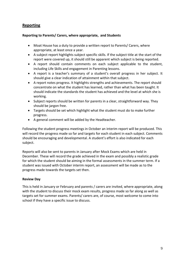# **Reporting**

## **Reporting to Parents/ Carers, where appropriate, and Students**

- Moat House has a duty to provide a written report to Parents/ Carers, where appropriate, at least once a year.
- A subject report highlights subject specific skills. If the subject title at the start of the report were covered up, it should still be apparent which subject is being reported.
- A report should contain comments on each subject applicable to the student, including Life Skills and engagement in Parenting lessons.
- A report is a teacher's summary of a student's overall progress in her subject. It should give a clear indication of attainment within that subject.
- A report notes progress. It highlights strengths and achievements. The report should concentrate on what the student has learned, rather than what has been taught. It should indicate the standards the student has achieved and the level at which she is working.
- Subject reports should be written for parents in a clear, straightforward way. They should be jargon free.
- Targets should be set which highlight what the student must do to make further progress.
- A general comment will be added by the Headteacher.

Following the student progress meetings in October an interim report will be produced. This will record the progress made so far and targets for each student in each subject. Comments should be encouraging and developmental. A student's effort is also indicated for each subject.

Reports will also be sent to parents in January after Mock Exams which are held in December. These will record the grade achieved in the exam and possibly a realistic grade for which the student should be aiming in the formal assessments in the summer term. If a student was issued with October interim report, an assessment will be made as to the progress made towards the targets set then.

# **Review Day**

This is held in January or February and parents / carers are invited, where appropriate, along with the student to discuss their mock exam results, progress made so far along as well as targets set for summer exams. Parents/ carers are, of course, most welcome to come into school if they have a specific issue to discuss.